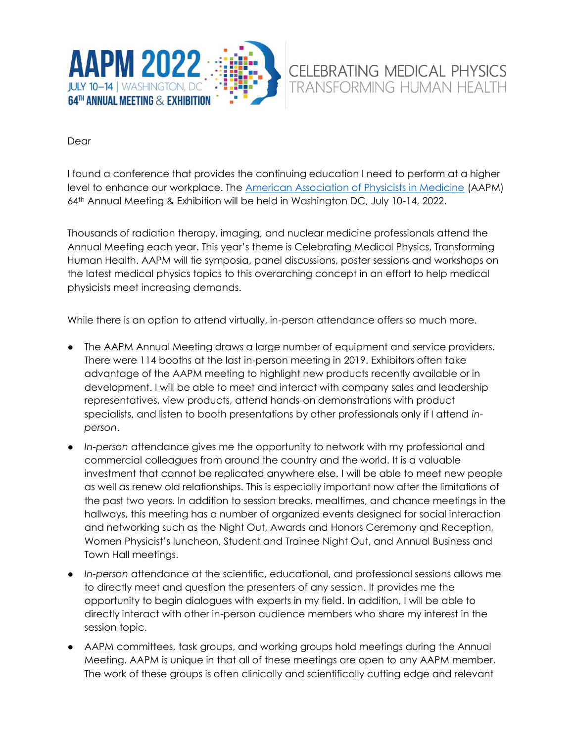

Dear

I found a conference that provides the continuing education I need to perform at a higher level to enhance our workplace. The [American Association of Physicists in Medicine](https://www.aapm.org/) (AAPM) 64th Annual Meeting & Exhibition will be held in Washington DC, July 10-14, 2022.

Thousands of radiation therapy, imaging, and nuclear medicine professionals attend the Annual Meeting each year. This year's theme is Celebrating Medical Physics, Transforming Human Health. AAPM will tie symposia, panel discussions, poster sessions and workshops on the latest medical physics topics to this overarching concept in an effort to help medical physicists meet increasing demands.

While there is an option to attend virtually, in-person attendance offers so much more.

- The AAPM Annual Meeting draws a large number of equipment and service providers. There were 114 booths at the last in-person meeting in 2019. Exhibitors often take advantage of the AAPM meeting to highlight new products recently available or in development. I will be able to meet and interact with company sales and leadership representatives, view products, attend hands-on demonstrations with product specialists, and listen to booth presentations by other professionals only if I attend *inperson*.
- *In-person* attendance gives me the opportunity to network with my professional and commercial colleagues from around the country and the world. It is a valuable investment that cannot be replicated anywhere else. I will be able to meet new people as well as renew old relationships. This is especially important now after the limitations of the past two years. In addition to session breaks, mealtimes, and chance meetings in the hallways, this meeting has a number of organized events designed for social interaction and networking such as the Night Out, Awards and Honors Ceremony and Reception, Women Physicist's luncheon, Student and Trainee Night Out, and Annual Business and Town Hall meetings.
- *In-person* attendance at the scientific, educational, and professional sessions allows me to directly meet and question the presenters of any session. It provides me the opportunity to begin dialogues with experts in my field. In addition, I will be able to directly interact with other in-person audience members who share my interest in the session topic.
- AAPM committees, task groups, and working groups hold meetings during the Annual Meeting. AAPM is unique in that all of these meetings are open to any AAPM member. The work of these groups is often clinically and scientifically cutting edge and relevant